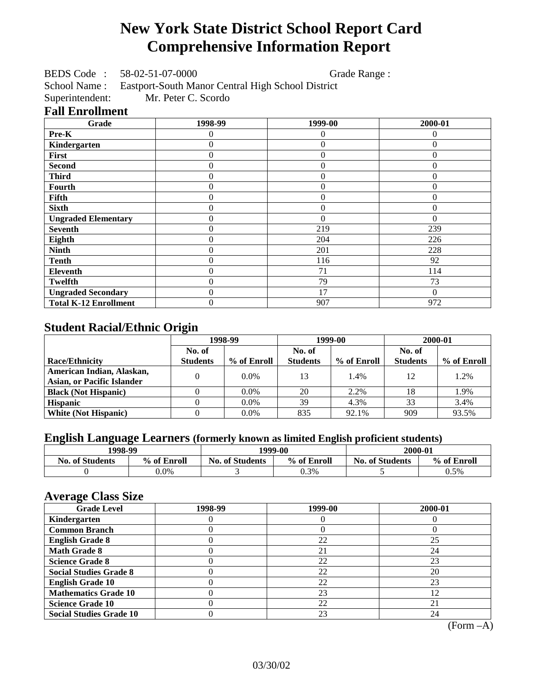# **New York State District School Report Card Comprehensive Information Report**

BEDS Code : 58-02-51-07-0000 Grade Range :

School Name : Eastport-South Manor Central High School District<br>Superintendent: Mr. Peter C. Scordo

Mr. Peter C. Scordo

### **Fall Enrollment**

| Grade                        | 1998-99        | 1999-00        | 2000-01  |
|------------------------------|----------------|----------------|----------|
| Pre-K                        | 0              | $\theta$       | $\Omega$ |
| Kindergarten                 | $\overline{0}$ | $\theta$       | $\Omega$ |
| First                        | 0              | $\theta$       | $\Omega$ |
| <b>Second</b>                | 0              | $\theta$       | $\Omega$ |
| <b>Third</b>                 | 0              | $\overline{0}$ | 0        |
| Fourth                       | 0              | $\theta$       | $\theta$ |
| Fifth                        | 0              | $\Omega$       | $\Omega$ |
| <b>Sixth</b>                 | 0              | $\Omega$       | $\Omega$ |
| <b>Ungraded Elementary</b>   | 0              | $\Omega$       | $\theta$ |
| <b>Seventh</b>               | 0              | 219            | 239      |
| Eighth                       | 0              | 204            | 226      |
| <b>Ninth</b>                 | 0              | 201            | 228      |
| <b>Tenth</b>                 | 0              | 116            | 92       |
| <b>Eleventh</b>              | 0              | 71             | 114      |
| <b>Twelfth</b>               | 0              | 79             | 73       |
| <b>Ungraded Secondary</b>    | 0              | 17             | $\Omega$ |
| <b>Total K-12 Enrollment</b> | 0              | 907            | 972      |

## **Student Racial/Ethnic Origin**

|                                   | 1998-99         |             | 1999-00         |             | 2000-01         |             |
|-----------------------------------|-----------------|-------------|-----------------|-------------|-----------------|-------------|
|                                   | No. of          |             | No. of          |             | No. of          |             |
| <b>Race/Ethnicity</b>             | <b>Students</b> | % of Enroll | <b>Students</b> | % of Enroll | <b>Students</b> | % of Enroll |
| American Indian, Alaskan,         | 0               | $0.0\%$     | 13              | 1.4%        | 12              | 1.2%        |
| <b>Asian, or Pacific Islander</b> |                 |             |                 |             |                 |             |
| <b>Black (Not Hispanic)</b>       |                 | $0.0\%$     | 20              | 2.2%        | 18              | 1.9%        |
| <b>Hispanic</b>                   |                 | $0.0\%$     | 39              | 4.3%        | 33              | 3.4%        |
| <b>White (Not Hispanic)</b>       |                 | $0.0\%$     | 835             | 92.1%       | 909             | 93.5%       |

## **English Language Learners (formerly known as limited English proficient students)**

| 1998-99                |             |                                       | 1999-00 | 2000-01                |             |  |
|------------------------|-------------|---------------------------------------|---------|------------------------|-------------|--|
| <b>No. of Students</b> | % of Enroll | % of Enroll<br><b>No. of Students</b> |         | <b>No. of Students</b> | % of Enroll |  |
|                        | $0.0\%$     |                                       | 0.3%    |                        | 0.5%        |  |

### **Average Class Size**

| <u>ਾ</u> ਰਾ<br><b>Grade Level</b> | 1998-99 | 1999-00 | 2000-01 |
|-----------------------------------|---------|---------|---------|
| Kindergarten                      |         |         |         |
| <b>Common Branch</b>              |         |         |         |
| <b>English Grade 8</b>            |         | 22      | 25      |
| <b>Math Grade 8</b>               |         | 21      | 24      |
| <b>Science Grade 8</b>            |         | 22      | 23      |
| <b>Social Studies Grade 8</b>     |         | 22      | 20      |
| <b>English Grade 10</b>           |         | 22      | 23      |
| <b>Mathematics Grade 10</b>       |         | 23      | 12      |
| <b>Science Grade 10</b>           |         | 22      | 21      |
| <b>Social Studies Grade 10</b>    |         | 23      | 24      |

(Form –A)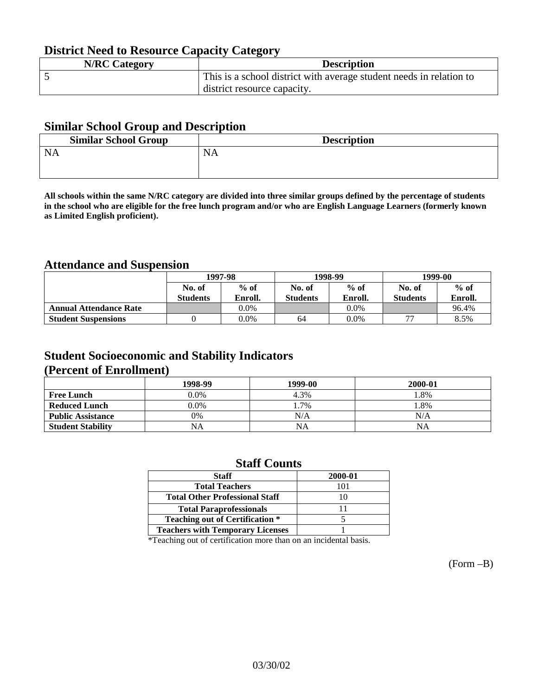## **District Need to Resource Capacity Category**

| <b>N/RC Category</b> | <b>Description</b>                                                  |
|----------------------|---------------------------------------------------------------------|
|                      | This is a school district with average student needs in relation to |
|                      | district resource capacity.                                         |

### **Similar School Group and Description**

| <b>Description</b> |
|--------------------|
|                    |
|                    |

**All schools within the same N/RC category are divided into three similar groups defined by the percentage of students in the school who are eligible for the free lunch program and/or who are English Language Learners (formerly known as Limited English proficient).**

## **Attendance and Suspension**

|                               |                 | 1997-98 |                 | 1998-99 |                          | 1999-00 |  |
|-------------------------------|-----------------|---------|-----------------|---------|--------------------------|---------|--|
|                               | No. of          | $%$ of  | No. of          | $%$ of  | No. of                   | $%$ of  |  |
|                               | <b>Students</b> | Enroll. | <b>Students</b> | Enroll. | <b>Students</b>          | Enroll. |  |
| <b>Annual Attendance Rate</b> |                 | $0.0\%$ |                 | $0.0\%$ |                          | 96.4%   |  |
| <b>Student Suspensions</b>    |                 | 0.0%    | 64              | $0.0\%$ | $\overline{\phantom{m}}$ | 8.5%    |  |

### **Student Socioeconomic and Stability Indicators (Percent of Enrollment)**

|                          | 1998-99 | 1999-00 | 2000-01 |
|--------------------------|---------|---------|---------|
| <b>Free Lunch</b>        | $0.0\%$ | 4.3%    | .8%     |
| <b>Reduced Lunch</b>     | $0.0\%$ | 1.7%    | .8%     |
| <b>Public Assistance</b> | 0%      | N/A     | N/A     |
| <b>Student Stability</b> | NA      | NA      | NA      |

### **Staff Counts**

| <b>Staff</b>                            | 2000-01 |
|-----------------------------------------|---------|
| <b>Total Teachers</b>                   | 101     |
| <b>Total Other Professional Staff</b>   | 10      |
| <b>Total Paraprofessionals</b>          |         |
| <b>Teaching out of Certification *</b>  |         |
| <b>Teachers with Temporary Licenses</b> |         |

\*Teaching out of certification more than on an incidental basis.

(Form –B)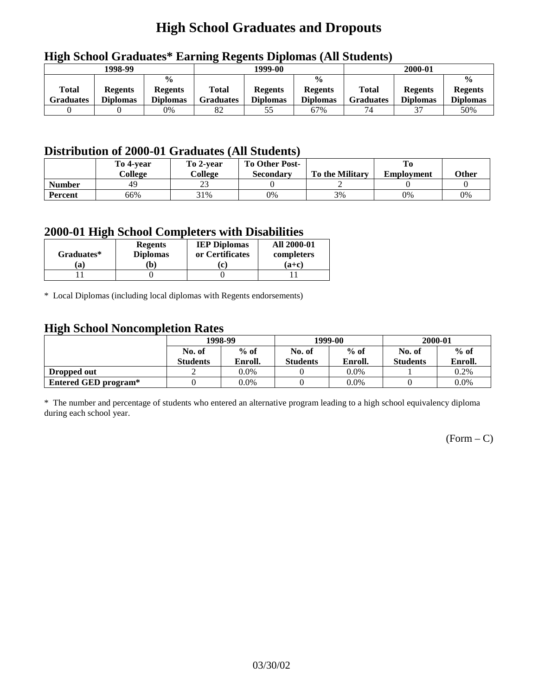# **High School Graduates and Dropouts**

|                                  | 1998-99                           |                                                    | 1999-00                   |                                   |                                                    | 2000-01                          |                                   |                                                    |
|----------------------------------|-----------------------------------|----------------------------------------------------|---------------------------|-----------------------------------|----------------------------------------------------|----------------------------------|-----------------------------------|----------------------------------------------------|
| <b>Total</b><br><b>Graduates</b> | <b>Regents</b><br><b>Diplomas</b> | $\frac{0}{0}$<br><b>Regents</b><br><b>Diplomas</b> | Total<br><b>Graduates</b> | <b>Regents</b><br><b>Diplomas</b> | $\frac{0}{0}$<br><b>Regents</b><br><b>Diplomas</b> | <b>Total</b><br><b>Graduates</b> | <b>Regents</b><br><b>Diplomas</b> | $\frac{0}{0}$<br><b>Regents</b><br><b>Diplomas</b> |
|                                  |                                   | $0\%$                                              | 82                        | 55                                | 67%                                                | 74                               | 37                                | 50%                                                |

## **High School Graduates\* Earning Regents Diplomas (All Students)**

## **Distribution of 2000-01 Graduates (All Students)**

|                | To 4-vear<br>College | To 2-year<br>College | <b>To Other Post-</b><br>Secondary | <b>To the Military</b> | <b>Employment</b> | <b>Other</b> |
|----------------|----------------------|----------------------|------------------------------------|------------------------|-------------------|--------------|
| <b>Number</b>  | 49                   | nη<br>نەت            |                                    |                        |                   |              |
| <b>Percent</b> | 66%                  | 31%                  | 0%                                 | 3%                     | 0%                | 0%           |

### **2000-01 High School Completers with Disabilities**

| Graduates* | <b>Regents</b><br><b>Diplomas</b> | <b>IEP Diplomas</b><br>or Certificates | <b>All 2000-01</b><br>completers |
|------------|-----------------------------------|----------------------------------------|----------------------------------|
| 'a         | b)                                |                                        | $(a+c)$                          |
|            |                                   |                                        |                                  |

\* Local Diplomas (including local diplomas with Regents endorsements)

### **High School Noncompletion Rates**

| $\overline{\phantom{0}}$ | 1998-99         |         |                 | 1999-00 | 2000-01         |         |
|--------------------------|-----------------|---------|-----------------|---------|-----------------|---------|
|                          | No. of          | $%$ of  | No. of          | $%$ of  | No. of          | $%$ of  |
|                          | <b>Students</b> | Enroll. | <b>Students</b> | Enroll. | <b>Students</b> | Enroll. |
| Dropped out              |                 | $0.0\%$ |                 | $0.0\%$ |                 | 0.2%    |
| Entered GED program*     |                 | $0.0\%$ |                 | $0.0\%$ |                 | $0.0\%$ |

\* The number and percentage of students who entered an alternative program leading to a high school equivalency diploma during each school year.

 $(Form - C)$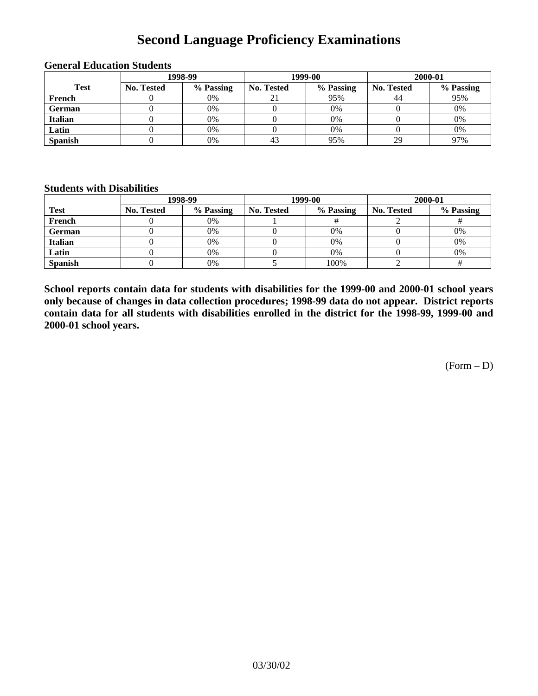# **Second Language Proficiency Examinations**

|                | 1998-99           |           |                   | 1999-00   | 2000-01           |           |  |
|----------------|-------------------|-----------|-------------------|-----------|-------------------|-----------|--|
| <b>Test</b>    | <b>No. Tested</b> | % Passing | <b>No. Tested</b> | % Passing | <b>No. Tested</b> | % Passing |  |
| French         |                   | 0%        | 21                | 95%       | 44                | 95%       |  |
| <b>German</b>  |                   | 0%        |                   | 0%        |                   | 0%        |  |
| <b>Italian</b> |                   | 0%        |                   | 0%        |                   | 0%        |  |
| Latin          |                   | 0%        |                   | 0%        |                   | 0%        |  |
| <b>Spanish</b> |                   | 0%        | 43                | 95%       | 29                | 97%       |  |

### **General Education Students**

### **Students with Disabilities**

|                | 1998-99    |           |                   | 1999-00   | 2000-01    |           |  |
|----------------|------------|-----------|-------------------|-----------|------------|-----------|--|
| <b>Test</b>    | No. Tested | % Passing | <b>No. Tested</b> | % Passing | No. Tested | % Passing |  |
| French         |            | 0%        |                   |           |            |           |  |
| <b>German</b>  |            | 0%        |                   | $0\%$     |            | 0%        |  |
| Italian        |            | 0%        |                   | 0%        |            | 0%        |  |
| Latin          |            | 0%        |                   | $0\%$     |            | 0%        |  |
| <b>Spanish</b> |            | 0%        |                   | 100%      |            |           |  |

**School reports contain data for students with disabilities for the 1999-00 and 2000-01 school years only because of changes in data collection procedures; 1998-99 data do not appear. District reports contain data for all students with disabilities enrolled in the district for the 1998-99, 1999-00 and 2000-01 school years.**

 $(Form - D)$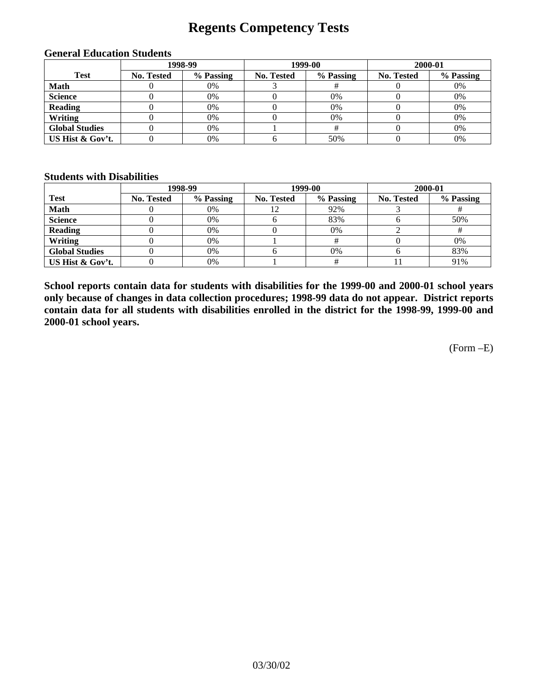## **Regents Competency Tests**

| 1998-99               |                   |           |            | 1999-00   | 2000-01           |           |  |
|-----------------------|-------------------|-----------|------------|-----------|-------------------|-----------|--|
| <b>Test</b>           | <b>No. Tested</b> | % Passing | No. Tested | % Passing | <b>No. Tested</b> | % Passing |  |
| <b>Math</b>           |                   | 0%        |            |           |                   | 0%        |  |
| <b>Science</b>        |                   | 0%        |            | 0%        |                   | 0%        |  |
| <b>Reading</b>        |                   | 0%        |            | $0\%$     |                   | 0%        |  |
| Writing               |                   | 0%        |            | 0%        |                   | 0%        |  |
| <b>Global Studies</b> |                   | 0%        |            |           |                   | 0%        |  |
| US Hist & Gov't.      |                   | 0%        |            | 50%       |                   | 0%        |  |

#### **General Education Students**

#### **Students with Disabilities**

|                       |                   | 1998-99   | 1999-00    |           | 2000-01    |           |
|-----------------------|-------------------|-----------|------------|-----------|------------|-----------|
| <b>Test</b>           | <b>No. Tested</b> | % Passing | No. Tested | % Passing | No. Tested | % Passing |
| <b>Math</b>           |                   | 0%        | 12         | 92%       |            |           |
| <b>Science</b>        |                   | 0%        |            | 83%       |            | 50%       |
| <b>Reading</b>        |                   | 0%        |            | $0\%$     |            | Ħ         |
| Writing               |                   | 0%        |            |           |            | 0%        |
| <b>Global Studies</b> |                   | 0%        |            | 0%        |            | 83%       |
| US Hist & Gov't.      |                   | 0%        |            |           |            | 91%       |

**School reports contain data for students with disabilities for the 1999-00 and 2000-01 school years only because of changes in data collection procedures; 1998-99 data do not appear. District reports contain data for all students with disabilities enrolled in the district for the 1998-99, 1999-00 and 2000-01 school years.**

(Form –E)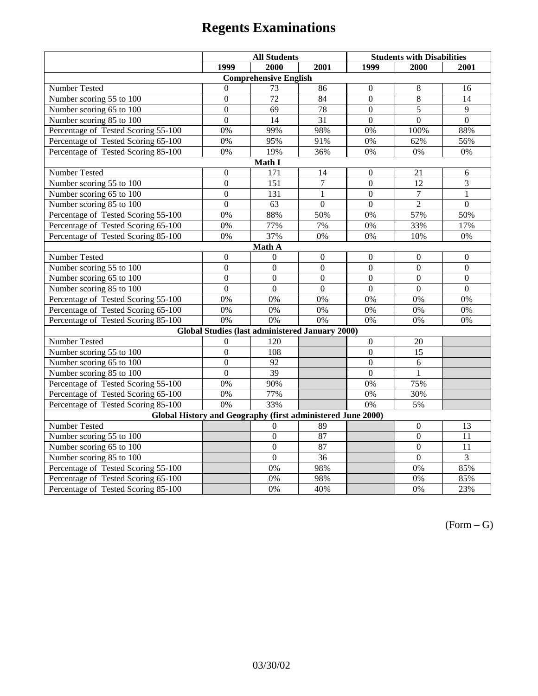|                                                             | <b>All Students</b> |                                                        |                 | <b>Students with Disabilities</b> |                 |                  |  |  |
|-------------------------------------------------------------|---------------------|--------------------------------------------------------|-----------------|-----------------------------------|-----------------|------------------|--|--|
|                                                             | 1999                | 2000                                                   | 2001            | 1999                              | 2000            | 2001             |  |  |
|                                                             |                     | <b>Comprehensive English</b>                           |                 |                                   |                 |                  |  |  |
| Number Tested                                               | $\mathbf{0}$        | 73                                                     | 86              | $\overline{0}$                    | $\,8\,$         | 16               |  |  |
| Number scoring 55 to 100                                    | $\overline{0}$      | 72                                                     | 84              | $\overline{0}$                    | $\overline{8}$  | 14               |  |  |
| Number scoring 65 to 100                                    | $\overline{0}$      | 69                                                     | 78              | $\overline{0}$                    | $\overline{5}$  | 9                |  |  |
| Number scoring 85 to 100                                    | $\overline{0}$      | 14                                                     | $\overline{31}$ | $\overline{0}$                    | $\overline{0}$  | $\overline{0}$   |  |  |
| Percentage of Tested Scoring 55-100                         | 0%                  | 99%                                                    | 98%             | 0%                                | 100%            | 88%              |  |  |
| Percentage of Tested Scoring 65-100                         | 0%                  | 95%                                                    | 91%             | 0%                                | 62%             | 56%              |  |  |
| Percentage of Tested Scoring 85-100                         | 0%                  | 19%                                                    | 36%             | $0\%$                             | 0%              | $0\%$            |  |  |
|                                                             |                     | Math I                                                 |                 |                                   |                 |                  |  |  |
| Number Tested                                               | $\boldsymbol{0}$    | 171                                                    | 14              | $\boldsymbol{0}$                  | 21              | $\sqrt{6}$       |  |  |
| Number scoring 55 to 100                                    | $\overline{0}$      | $\overline{151}$                                       | $\tau$          | $\overline{0}$                    | 12              | 3                |  |  |
| Number scoring 65 to 100                                    | $\overline{0}$      | 131                                                    | 1               | $\mathbf{0}$                      | $\overline{7}$  | $\mathbf{1}$     |  |  |
| Number scoring 85 to 100                                    | $\overline{0}$      | 63                                                     | $\overline{0}$  | $\overline{0}$                    | $\overline{2}$  | $\overline{0}$   |  |  |
| Percentage of Tested Scoring 55-100                         | $\overline{0\%}$    | 88%                                                    | 50%             | 0%                                | 57%             | 50%              |  |  |
| Percentage of Tested Scoring 65-100                         | 0%                  | 77%                                                    | 7%              | 0%                                | 33%             | 17%              |  |  |
| Percentage of Tested Scoring 85-100                         | 0%                  | 37%                                                    | 0%              | 0%                                | 10%             | $0\%$            |  |  |
| Math A                                                      |                     |                                                        |                 |                                   |                 |                  |  |  |
| Number Tested                                               | $\boldsymbol{0}$    | $\theta$                                               | $\mathbf{0}$    | $\overline{0}$                    | $\mathbf{0}$    | $\mathbf{0}$     |  |  |
| Number scoring 55 to 100                                    | $\overline{0}$      | $\overline{0}$                                         | $\overline{0}$  | $\overline{0}$                    | $\overline{0}$  | $\overline{0}$   |  |  |
| Number scoring 65 to 100                                    | $\boldsymbol{0}$    | $\mathbf{0}$                                           | $\mathbf{0}$    | $\overline{0}$                    | $\mathbf{0}$    | $\boldsymbol{0}$ |  |  |
| Number scoring 85 to 100                                    | $\mathbf{0}$        | $\mathbf{0}$                                           | $\mathbf{0}$    | $\overline{0}$                    | $\mathbf{0}$    | $\boldsymbol{0}$ |  |  |
| Percentage of Tested Scoring 55-100                         | 0%                  | 0%                                                     | 0%              | 0%                                | 0%              | 0%               |  |  |
| Percentage of Tested Scoring 65-100                         | 0%                  | 0%                                                     | 0%              | 0%                                | 0%              | 0%               |  |  |
| Percentage of Tested Scoring 85-100                         | 0%                  | 0%                                                     | 0%              | 0%                                | 0%              | 0%               |  |  |
|                                                             |                     | <b>Global Studies (last administered January 2000)</b> |                 |                                   |                 |                  |  |  |
| Number Tested                                               | $\overline{0}$      | 120                                                    |                 | $\boldsymbol{0}$                  | 20              |                  |  |  |
| Number scoring 55 to 100                                    | $\mathbf{0}$        | $10\overline{8}$                                       |                 | $\overline{0}$                    | $\overline{15}$ |                  |  |  |
| Number scoring 65 to 100                                    | $\overline{0}$      | $\overline{92}$                                        |                 | $\overline{0}$                    | 6               |                  |  |  |
| Number scoring 85 to 100                                    | $\overline{0}$      | $\overline{39}$                                        |                 | $\theta$                          | 1               |                  |  |  |
| Percentage of Tested Scoring 55-100                         | 0%                  | 90%                                                    |                 | 0%                                | 75%             |                  |  |  |
| Percentage of Tested Scoring 65-100                         | 0%                  | 77%                                                    |                 | 0%                                | 30%             |                  |  |  |
| Percentage of Tested Scoring 85-100                         | 0%                  | 33%                                                    |                 | 0%                                | 5%              |                  |  |  |
| Global History and Geography (first administered June 2000) |                     |                                                        |                 |                                   |                 |                  |  |  |
| Number Tested                                               |                     | 0                                                      | 89              |                                   | $\mathbf{0}$    | 13               |  |  |
| Number scoring 55 to 100                                    |                     | $\boldsymbol{0}$                                       | 87              |                                   | $\mathbf{0}$    | 11               |  |  |
| Number scoring 65 to 100                                    |                     | $\overline{0}$                                         | 87              |                                   | $\overline{0}$  | 11               |  |  |
| Number scoring 85 to 100                                    |                     | $\overline{0}$                                         | $\overline{36}$ |                                   | $\overline{0}$  | $\overline{3}$   |  |  |
| Percentage of Tested Scoring 55-100                         |                     | 0%                                                     | 98%             |                                   | 0%              | 85%              |  |  |
| Percentage of Tested Scoring 65-100                         |                     | 0%                                                     | 98%             |                                   | $0\%$           | 85%              |  |  |
| Percentage of Tested Scoring 85-100                         |                     | 0%                                                     | 40%             |                                   | 0%              | 23%              |  |  |

 $(Form - G)$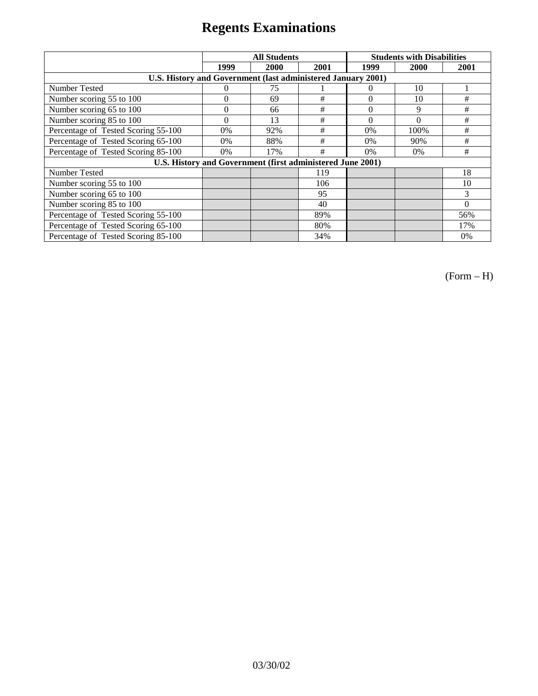|                                                              | <b>All Students</b> |      |      |          | <b>Students with Disabilities</b> |          |
|--------------------------------------------------------------|---------------------|------|------|----------|-----------------------------------|----------|
|                                                              | 1999                | 2000 | 2001 | 1999     | 2000                              | 2001     |
| U.S. History and Government (last administered January 2001) |                     |      |      |          |                                   |          |
| Number Tested                                                | 0                   | 75   |      | $\theta$ | 10                                |          |
| Number scoring 55 to 100                                     | $\overline{0}$      | 69   | #    | $\Omega$ | 10                                | #        |
| Number scoring 65 to 100                                     | $\overline{0}$      | 66   | #    | $\theta$ | 9                                 | #        |
| Number scoring 85 to 100                                     | $\theta$            | 13   | #    | $\Omega$ | $\Omega$                          | #        |
| Percentage of Tested Scoring 55-100                          | 0%                  | 92%  | #    | 0%       | 100%                              | #        |
| Percentage of Tested Scoring 65-100                          | $0\%$               | 88%  | #    | $0\%$    | 90%                               | #        |
| Percentage of Tested Scoring 85-100                          | $0\%$               | 17%  | #    | $0\%$    | 0%                                | #        |
| U.S. History and Government (first administered June 2001)   |                     |      |      |          |                                   |          |
| <b>Number Tested</b>                                         |                     |      | 119  |          |                                   | 18       |
| Number scoring 55 to 100                                     |                     |      | 106  |          |                                   | 10       |
| Number scoring 65 to 100                                     |                     |      | 95   |          |                                   | 3        |
| Number scoring 85 to 100                                     |                     |      | 40   |          |                                   | $\Omega$ |
| Percentage of Tested Scoring 55-100                          |                     |      | 89%  |          |                                   | 56%      |
| Percentage of Tested Scoring 65-100                          |                     |      | 80%  |          |                                   | 17%      |
| Percentage of Tested Scoring 85-100                          |                     |      | 34%  |          |                                   | 0%       |

(Form – H)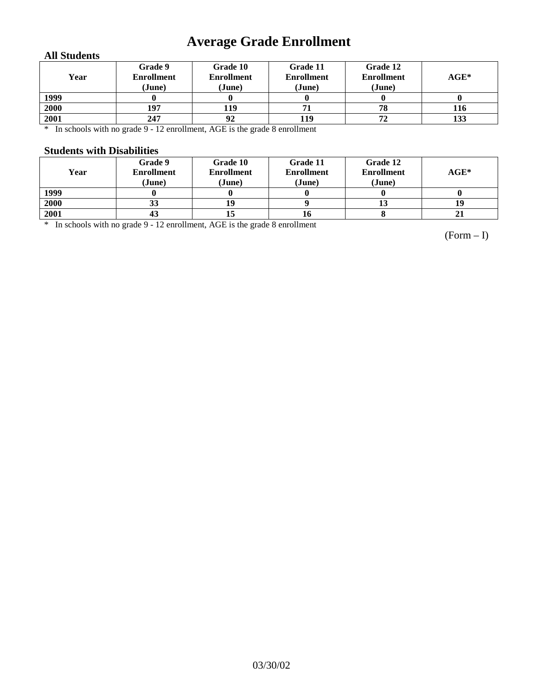# **Average Grade Enrollment**

### **All Students**

| Year | Grade 9<br><b>Enrollment</b><br>(June) | Grade 10<br><b>Enrollment</b><br>(June) | Grade 11<br><b>Enrollment</b><br>(June) | Grade 12<br><b>Enrollment</b><br>(June) | $AGE^*$ |
|------|----------------------------------------|-----------------------------------------|-----------------------------------------|-----------------------------------------|---------|
| 1999 |                                        |                                         |                                         |                                         |         |
| 2000 | 197                                    | 119                                     |                                         | 78                                      | 116     |
| 2001 | 247                                    | 92                                      | 119                                     | 72                                      | 133     |

\* In schools with no grade 9 - 12 enrollment, AGE is the grade 8 enrollment

#### **Students with Disabilities**

| Year | Grade 9<br><b>Enrollment</b><br>(June) | Grade 10<br><b>Enrollment</b><br>(June) | Grade 11<br><b>Enrollment</b><br>(June) | Grade 12<br><b>Enrollment</b><br>(June) | $AGE^*$ |
|------|----------------------------------------|-----------------------------------------|-----------------------------------------|-----------------------------------------|---------|
| 1999 |                                        |                                         |                                         |                                         |         |
| 2000 | 33                                     |                                         |                                         | 15                                      | 19      |
| 2001 | 43                                     |                                         | 16                                      |                                         | 21      |

\* In schools with no grade 9 - 12 enrollment, AGE is the grade 8 enrollment

(Form – I)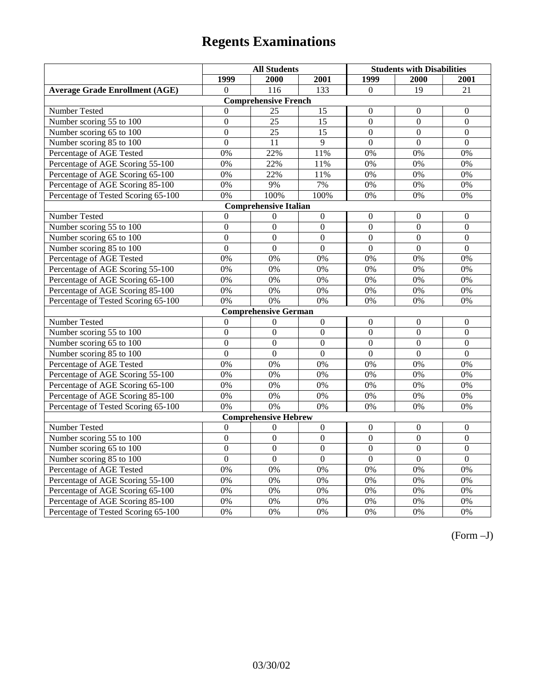|                                       | <b>All Students</b> |                             |                  | <b>Students with Disabilities</b> |                  |                  |  |  |
|---------------------------------------|---------------------|-----------------------------|------------------|-----------------------------------|------------------|------------------|--|--|
|                                       | 1999                | 2000                        | 2001             | 1999                              | 2000             | 2001             |  |  |
| <b>Average Grade Enrollment (AGE)</b> | $\Omega$            | 116                         | 133              | $\Omega$                          | $\overline{19}$  | 21               |  |  |
|                                       |                     | <b>Comprehensive French</b> |                  |                                   |                  |                  |  |  |
| <b>Number Tested</b>                  | $\mathbf{0}$        | 25                          | 15               | $\theta$                          | $\theta$         | $\mathbf{0}$     |  |  |
| Number scoring 55 to 100              | $\overline{0}$      | $\overline{25}$             | $\overline{15}$  | $\overline{0}$                    | $\overline{0}$   | $\overline{0}$   |  |  |
| Number scoring 65 to 100              | $\mathbf{0}$        | 25                          | 15               | $\mathbf{0}$                      | $\overline{0}$   | $\mathbf{0}$     |  |  |
| Number scoring 85 to 100              | $\overline{0}$      | 11                          | 9                | $\overline{0}$                    | $\overline{0}$   | $\mathbf{0}$     |  |  |
| Percentage of AGE Tested              | 0%                  | 22%                         | 11%              | 0%                                | 0%               | 0%               |  |  |
| Percentage of AGE Scoring 55-100      | 0%                  | 22%                         | 11%              | 0%                                | 0%               | 0%               |  |  |
| Percentage of AGE Scoring 65-100      | 0%                  | 22%                         | 11%              | 0%                                | 0%               | 0%               |  |  |
| Percentage of AGE Scoring 85-100      | 0%                  | 9%                          | 7%               | $0\%$                             | 0%               | $0\%$            |  |  |
| Percentage of Tested Scoring 65-100   | 0%                  | 100%                        | 100%             | 0%                                | 0%               | 0%               |  |  |
| <b>Comprehensive Italian</b>          |                     |                             |                  |                                   |                  |                  |  |  |
| Number Tested                         | $\Omega$            | $\Omega$                    | $\boldsymbol{0}$ | $\boldsymbol{0}$                  | $\Omega$         | $\Omega$         |  |  |
| Number scoring 55 to 100              | $\boldsymbol{0}$    | $\boldsymbol{0}$            | $\boldsymbol{0}$ | $\boldsymbol{0}$                  | $\boldsymbol{0}$ | $\boldsymbol{0}$ |  |  |
| Number scoring 65 to 100              | $\mathbf{0}$        | $\mathbf{0}$                | $\overline{0}$   | $\overline{0}$                    | $\overline{0}$   | $\mathbf{0}$     |  |  |
| Number scoring 85 to 100              | $\overline{0}$      | $\overline{0}$              | $\overline{0}$   | $\overline{0}$                    | $\overline{0}$   | $\overline{0}$   |  |  |
| Percentage of AGE Tested              | 0%                  | 0%                          | 0%               | 0%                                | 0%               | 0%               |  |  |
| Percentage of AGE Scoring 55-100      | 0%                  | 0%                          | 0%               | 0%                                | 0%               | 0%               |  |  |
| Percentage of AGE Scoring 65-100      | 0%                  | 0%                          | 0%               | 0%                                | 0%               | 0%               |  |  |
| Percentage of AGE Scoring 85-100      | 0%                  | 0%                          | 0%               | 0%                                | 0%               | 0%               |  |  |
| Percentage of Tested Scoring 65-100   | 0%                  | 0%                          | 0%               | 0%                                | 0%               | 0%               |  |  |
|                                       |                     | <b>Comprehensive German</b> |                  |                                   |                  |                  |  |  |
| Number Tested                         | $\boldsymbol{0}$    | $\mathbf{0}$                | $\boldsymbol{0}$ | $\mathbf{0}$                      | $\boldsymbol{0}$ | $\mathbf{0}$     |  |  |
| Number scoring 55 to 100              | $\mathbf{0}$        | $\overline{0}$              | $\overline{0}$   | $\boldsymbol{0}$                  | $\boldsymbol{0}$ | $\theta$         |  |  |
| Number scoring 65 to 100              | $\overline{0}$      | $\overline{0}$              | $\overline{0}$   | $\overline{0}$                    | $\boldsymbol{0}$ | $\overline{0}$   |  |  |
| Number scoring 85 to 100              | $\overline{0}$      | $\overline{0}$              | $\overline{0}$   | $\overline{0}$                    | $\overline{0}$   | $\mathbf{0}$     |  |  |
| Percentage of AGE Tested              | 0%                  | 0%                          | 0%               | 0%                                | 0%               | 0%               |  |  |
| Percentage of AGE Scoring 55-100      | 0%                  | 0%                          | 0%               | 0%                                | 0%               | 0%               |  |  |
| Percentage of AGE Scoring 65-100      | 0%                  | 0%                          | 0%               | 0%                                | 0%               | 0%               |  |  |
| Percentage of AGE Scoring 85-100      | 0%                  | 0%                          | 0%               | 0%                                | 0%               | 0%               |  |  |
| Percentage of Tested Scoring 65-100   | 0%                  | 0%                          | 0%               | 0%                                | 0%               | 0%               |  |  |
|                                       |                     | <b>Comprehensive Hebrew</b> |                  |                                   |                  |                  |  |  |
| Number Tested                         | $\boldsymbol{0}$    | $\boldsymbol{0}$            | $\boldsymbol{0}$ | $\boldsymbol{0}$                  | $\boldsymbol{0}$ | $\boldsymbol{0}$ |  |  |
| Number scoring 55 to 100              | $\overline{0}$      | $\overline{0}$              | $\overline{0}$   | $\overline{0}$                    | $\overline{0}$   | $\overline{0}$   |  |  |
| Number scoring 65 to 100              | $\mathbf{0}$        | $\boldsymbol{0}$            | $\mathbf{0}$     | $\boldsymbol{0}$                  | $\boldsymbol{0}$ | $\boldsymbol{0}$ |  |  |
| Number scoring 85 to 100              | $\overline{0}$      | $\overline{0}$              | $\overline{0}$   | $\overline{0}$                    | $\overline{0}$   | $\overline{0}$   |  |  |
| Percentage of AGE Tested              | 0%                  | 0%                          | 0%               | 0%                                | 0%               | 0%               |  |  |
| Percentage of AGE Scoring 55-100      | 0%                  | 0%                          | 0%               | 0%                                | 0%               | 0%               |  |  |
| Percentage of AGE Scoring 65-100      | 0%                  | 0%                          | 0%               | 0%                                | 0%               | 0%               |  |  |
| Percentage of AGE Scoring 85-100      | 0%                  | 0%                          | 0%               | 0%                                | 0%               | 0%               |  |  |
| Percentage of Tested Scoring 65-100   | 0%                  | 0%                          | 0%               | 0%                                | 0%               | 0%               |  |  |

(Form –J)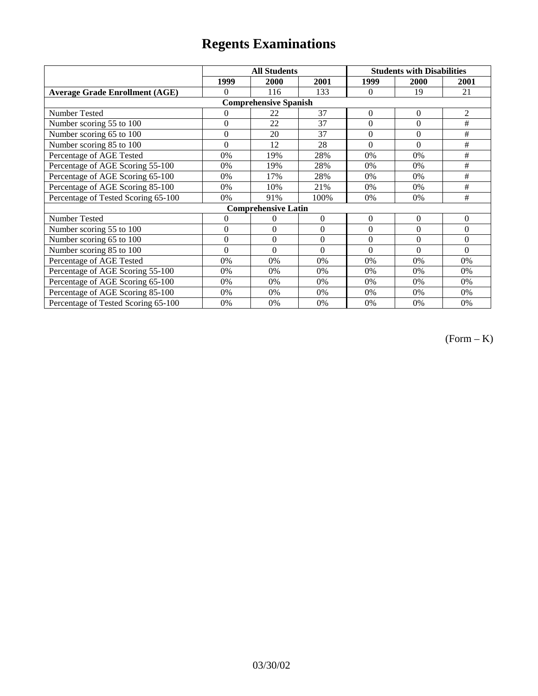|                                       | <b>All Students</b> |                              |                  | <b>Students with Disabilities</b> |                |                |
|---------------------------------------|---------------------|------------------------------|------------------|-----------------------------------|----------------|----------------|
|                                       | 1999                | 2000                         | 2001             | 1999                              | 2000           | 2001           |
| <b>Average Grade Enrollment (AGE)</b> | $\theta$            | 116                          | 133              | $\Omega$                          | 19             | 21             |
|                                       |                     | <b>Comprehensive Spanish</b> |                  |                                   |                |                |
| Number Tested                         | $\theta$            | 22                           | 37               | $\boldsymbol{0}$                  | $\overline{0}$ | $\overline{2}$ |
| Number scoring 55 to 100              | $\mathbf{0}$        | 22                           | 37               | $\theta$                          | $\overline{0}$ | #              |
| Number scoring 65 to 100              | $\mathbf{0}$        | 20                           | 37               | $\overline{0}$                    | $\overline{0}$ | #              |
| Number scoring 85 to 100              | $\theta$            | 12                           | 28               | $\Omega$                          | $\theta$       | #              |
| Percentage of AGE Tested              | 0%                  | 19%                          | 28%              | 0%                                | 0%             | #              |
| Percentage of AGE Scoring 55-100      | 0%                  | 19%                          | 28%              | 0%                                | 0%             | #              |
| Percentage of AGE Scoring 65-100      | 0%                  | 17%                          | 28%              | 0%                                | 0%             | #              |
| Percentage of AGE Scoring 85-100      | 0%                  | 10%                          | 21%              | 0%                                | 0%             | $\#$           |
| Percentage of Tested Scoring 65-100   | 0%                  | 91%                          | 100%             | 0%                                | 0%             | #              |
|                                       |                     | <b>Comprehensive Latin</b>   |                  |                                   |                |                |
| Number Tested                         | 0                   | 0                            | $\mathbf{0}$     | $\theta$                          | $\overline{0}$ | $\overline{0}$ |
| Number scoring 55 to 100              | $\overline{0}$      | $\mathbf{0}$                 | $\Omega$         | $\theta$                          | $\theta$       | $\theta$       |
| Number scoring 65 to 100              | $\overline{0}$      | $\overline{0}$               | $\boldsymbol{0}$ | $\overline{0}$                    | $\theta$       | $\theta$       |
| Number scoring 85 to 100              | $\theta$            | $\theta$                     | $\Omega$         | $\theta$                          | $\theta$       | $\theta$       |
| Percentage of AGE Tested              | 0%                  | 0%                           | 0%               | 0%                                | 0%             | 0%             |
| Percentage of AGE Scoring 55-100      | 0%                  | 0%                           | 0%               | 0%                                | 0%             | 0%             |
| Percentage of AGE Scoring 65-100      | 0%                  | 0%                           | 0%               | 0%                                | 0%             | 0%             |
| Percentage of AGE Scoring 85-100      | $0\%$               | 0%                           | 0%               | 0%                                | 0%             | 0%             |
| Percentage of Tested Scoring 65-100   | 0%                  | 0%                           | 0%               | 0%                                | 0%             | 0%             |

 $(Form - K)$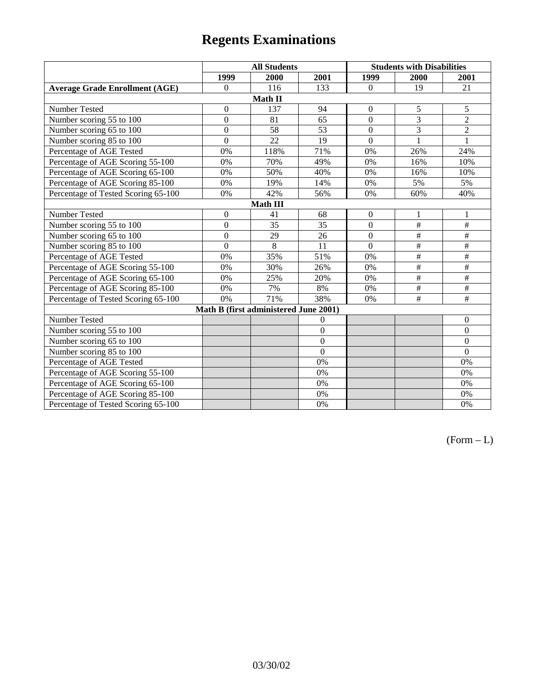|                                       | <b>All Students</b> |                                       |                | <b>Students with Disabilities</b> |                |                  |  |  |
|---------------------------------------|---------------------|---------------------------------------|----------------|-----------------------------------|----------------|------------------|--|--|
|                                       | 1999                | 2000                                  | 2001           | 1999                              | 2000           | 2001             |  |  |
| <b>Average Grade Enrollment (AGE)</b> | $\boldsymbol{0}$    | 116                                   | 133            | $\overline{0}$                    | 19             | 21               |  |  |
|                                       |                     | Math II                               |                |                                   |                |                  |  |  |
| Number Tested                         | $\boldsymbol{0}$    | 137                                   | 94             | $\boldsymbol{0}$                  | 5              | 5                |  |  |
| Number scoring 55 to 100              | $\mathbf{0}$        | 81                                    | 65             | $\overline{0}$                    | $\overline{3}$ | $\overline{2}$   |  |  |
| Number scoring 65 to 100              | $\boldsymbol{0}$    | 58                                    | 53             | $\overline{0}$                    | 3              | $\overline{c}$   |  |  |
| Number scoring 85 to 100              | $\overline{0}$      | 22                                    | 19             | $\overline{0}$                    | $\mathbf{1}$   | $\mathbf{1}$     |  |  |
| Percentage of AGE Tested              | 0%                  | 118%                                  | 71%            | 0%                                | 26%            | 24%              |  |  |
| Percentage of AGE Scoring 55-100      | 0%                  | 70%                                   | 49%            | $0\%$                             | 16%            | 10%              |  |  |
| Percentage of AGE Scoring 65-100      | 0%                  | 50%                                   | 40%            | $0\%$                             | 16%            | 10%              |  |  |
| Percentage of AGE Scoring 85-100      | 0%                  | 19%                                   | 14%            | $0\%$                             | 5%             | 5%               |  |  |
| Percentage of Tested Scoring 65-100   | 0%                  | 42%                                   | 56%            | 0%                                | 60%            | 40%              |  |  |
| Math III                              |                     |                                       |                |                                   |                |                  |  |  |
| Number Tested                         | $\boldsymbol{0}$    | 41                                    | 68             | $\boldsymbol{0}$                  | $\mathbf{1}$   | 1                |  |  |
| Number scoring 55 to 100              | $\boldsymbol{0}$    | 35                                    | 35             | $\overline{0}$                    | $\#$           | $\#$             |  |  |
| Number scoring 65 to 100              | $\boldsymbol{0}$    | 29                                    | 26             | $\Omega$                          | $\#$           | $\#$             |  |  |
| Number scoring 85 to 100              | $\mathbf{0}$        | 8                                     | 11             | $\Omega$                          | $\#$           | $\#$             |  |  |
| Percentage of AGE Tested              | 0%                  | 35%                                   | 51%            | 0%                                | $\#$           | $\#$             |  |  |
| Percentage of AGE Scoring 55-100      | 0%                  | 30%                                   | 26%            | 0%                                | $\#$           | $\#$             |  |  |
| Percentage of AGE Scoring 65-100      | 0%                  | 25%                                   | 20%            | 0%                                | $\#$           | $\#$             |  |  |
| Percentage of AGE Scoring 85-100      | 0%                  | 7%                                    | 8%             | 0%                                | $\#$           | $\#$             |  |  |
| Percentage of Tested Scoring 65-100   | 0%                  | 71%                                   | 38%            | 0%                                | $\#$           | $\#$             |  |  |
|                                       |                     | Math B (first administered June 2001) |                |                                   |                |                  |  |  |
| Number Tested                         |                     |                                       | $\overline{0}$ |                                   |                | $\boldsymbol{0}$ |  |  |
| Number scoring 55 to 100              |                     |                                       | $\overline{0}$ |                                   |                | $\boldsymbol{0}$ |  |  |
| Number scoring 65 to 100              |                     |                                       | $\mathbf{0}$   |                                   |                | $\boldsymbol{0}$ |  |  |
| Number scoring 85 to 100              |                     |                                       | $\overline{0}$ |                                   |                | $\mathbf{0}$     |  |  |
| Percentage of AGE Tested              |                     |                                       | 0%             |                                   |                | 0%               |  |  |
| Percentage of AGE Scoring 55-100      |                     |                                       | 0%             |                                   |                | 0%               |  |  |
| Percentage of AGE Scoring 65-100      |                     |                                       | 0%             |                                   |                | 0%               |  |  |
| Percentage of AGE Scoring 85-100      |                     |                                       | 0%             |                                   |                | 0%               |  |  |
| Percentage of Tested Scoring 65-100   |                     |                                       | 0%             |                                   |                | 0%               |  |  |

 $(Form - L)$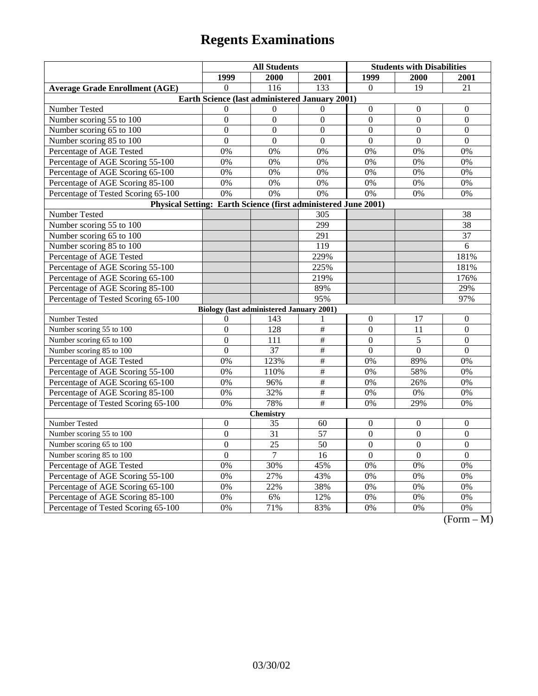|                                                                | <b>All Students</b> |                                                 |                 | <b>Students with Disabilities</b> |                |                                   |  |  |
|----------------------------------------------------------------|---------------------|-------------------------------------------------|-----------------|-----------------------------------|----------------|-----------------------------------|--|--|
|                                                                | 1999                | 2000                                            | 2001            | 1999                              | 2000           | 2001                              |  |  |
| <b>Average Grade Enrollment (AGE)</b>                          | $\Omega$            | 116                                             | 133             | $\theta$                          | 19             | $\overline{21}$                   |  |  |
| Earth Science (last administered January 2001)                 |                     |                                                 |                 |                                   |                |                                   |  |  |
| Number Tested                                                  | $\Omega$            | $\Omega$                                        | $\Omega$        | $\mathbf{0}$                      | $\mathbf{0}$   | $\theta$                          |  |  |
| Number scoring 55 to 100                                       | $\boldsymbol{0}$    | $\mathbf{0}$                                    | $\overline{0}$  | $\mathbf{0}$                      | $\mathbf{0}$   | $\overline{0}$                    |  |  |
| Number scoring 65 to 100                                       | $\overline{0}$      | $\mathbf{0}$                                    | $\overline{0}$  | $\overline{0}$                    | $\mathbf{0}$   | $\mathbf{0}$                      |  |  |
| Number scoring 85 to 100                                       | $\boldsymbol{0}$    | $\overline{0}$                                  | $\overline{0}$  | $\overline{0}$                    | $\overline{0}$ | $\overline{0}$                    |  |  |
| Percentage of AGE Tested                                       | 0%                  | 0%                                              | 0%              | 0%                                | 0%             | 0%                                |  |  |
| Percentage of AGE Scoring 55-100                               | 0%                  | 0%                                              | 0%              | 0%                                | 0%             | 0%                                |  |  |
| Percentage of AGE Scoring 65-100                               | 0%                  | 0%                                              | 0%              | 0%                                | 0%             | 0%                                |  |  |
| Percentage of AGE Scoring 85-100                               | 0%                  | 0%                                              | 0%              | 0%                                | 0%             | 0%                                |  |  |
| Percentage of Tested Scoring 65-100                            | 0%                  | 0%                                              | 0%              | 0%                                | 0%             | 0%                                |  |  |
| Physical Setting: Earth Science (first administered June 2001) |                     |                                                 |                 |                                   |                |                                   |  |  |
| Number Tested                                                  |                     |                                                 | 305             |                                   |                | 38                                |  |  |
| Number scoring 55 to 100                                       |                     |                                                 | 299             |                                   |                | 38                                |  |  |
| Number scoring 65 to 100                                       |                     |                                                 | 291             |                                   |                | 37                                |  |  |
| Number scoring 85 to 100                                       |                     |                                                 | 119             |                                   |                | 6                                 |  |  |
| Percentage of AGE Tested                                       |                     |                                                 | 229%            |                                   |                | 181%                              |  |  |
| Percentage of AGE Scoring 55-100                               |                     |                                                 | 225%            |                                   |                | 181%                              |  |  |
| Percentage of AGE Scoring 65-100                               |                     |                                                 | 219%            |                                   |                | 176%                              |  |  |
| Percentage of AGE Scoring 85-100                               |                     |                                                 | 89%             |                                   |                | 29%                               |  |  |
| Percentage of Tested Scoring 65-100                            |                     |                                                 | 95%             |                                   |                | 97%                               |  |  |
|                                                                |                     | <b>Biology (last administered January 2001)</b> |                 |                                   |                |                                   |  |  |
| Number Tested                                                  | 0                   | 143                                             | 1               | $\theta$                          | 17             | $\theta$                          |  |  |
| Number scoring 55 to 100                                       | $\boldsymbol{0}$    | 128                                             | $\overline{\#}$ | $\mathbf{0}$                      | 11             | $\overline{0}$                    |  |  |
| Number scoring 65 to 100                                       | $\overline{0}$      | 111                                             | $\overline{\#}$ | $\overline{0}$                    | 5              | $\overline{0}$                    |  |  |
| Number scoring 85 to 100                                       | $\boldsymbol{0}$    | $\overline{37}$                                 | $\overline{\#}$ | $\boldsymbol{0}$                  | $\Omega$       | $\theta$                          |  |  |
| Percentage of AGE Tested                                       | 0%                  | 123%                                            | $\#$            | 0%                                | 89%            | 0%                                |  |  |
| Percentage of AGE Scoring 55-100                               | 0%                  | 110%                                            | $\overline{t}$  | 0%                                | 58%            | 0%                                |  |  |
| Percentage of AGE Scoring 65-100                               | 0%                  | 96%                                             | $\#$            | 0%                                | 26%            | 0%                                |  |  |
| Percentage of AGE Scoring 85-100                               | 0%                  | 32%                                             | $\overline{\#}$ | 0%                                | $0\%$          | 0%                                |  |  |
| Percentage of Tested Scoring 65-100                            | 0%                  | 78%                                             | $\overline{\#}$ | 0%                                | 29%            | 0%                                |  |  |
| Chemistry                                                      |                     |                                                 |                 |                                   |                |                                   |  |  |
| Number Tested                                                  | $\boldsymbol{0}$    | 35                                              | 60              | $\mathbf{0}$                      | $\mathbf{0}$   | $\mathbf{0}$                      |  |  |
| Number scoring 55 to 100                                       | $\mathbf{0}$        | 31                                              | $\overline{57}$ | $\mathbf{0}$                      | $\mathbf{0}$   | $\mathbf{0}$                      |  |  |
| Number scoring 65 to 100                                       | $\overline{0}$      | 25                                              | 50              | $\overline{0}$                    | $\mathbf{0}$   | $\overline{0}$                    |  |  |
| Number scoring 85 to 100                                       | $\overline{0}$      | $\overline{7}$                                  | 16              | $\mathbf{0}$                      | $\mathbf{0}$   | $\mathbf{0}$                      |  |  |
| Percentage of AGE Tested                                       | 0%                  | 30%                                             | 45%             | 0%                                | 0%             | 0%                                |  |  |
| Percentage of AGE Scoring 55-100                               | 0%                  | 27%                                             | 43%             | 0%                                | 0%             | 0%                                |  |  |
| Percentage of AGE Scoring 65-100                               | 0%                  | 22%                                             | 38%             | 0%                                | 0%             | 0%                                |  |  |
| Percentage of AGE Scoring 85-100                               | 0%                  | 6%                                              | 12%             | 0%                                | 0%             | 0%                                |  |  |
| Percentage of Tested Scoring 65-100                            | 0%                  | 71%                                             | 83%             | 0%                                | 0%             | 0%<br>$\sqrt{12}$<br>$\mathbf{A}$ |  |  |

(Form – M)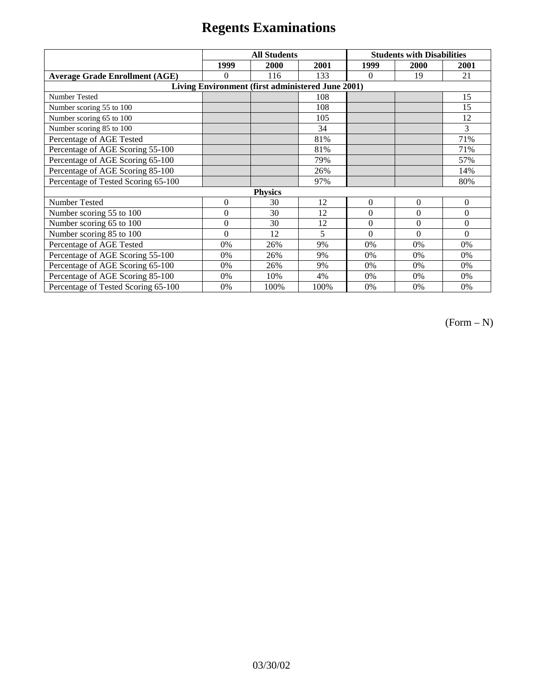|                                                   | <b>All Students</b> |      |      | <b>Students with Disabilities</b> |          |                  |  |  |
|---------------------------------------------------|---------------------|------|------|-----------------------------------|----------|------------------|--|--|
|                                                   | 1999                | 2000 | 2001 | 1999                              | 2000     | 2001             |  |  |
| <b>Average Grade Enrollment (AGE)</b>             | 0                   | 116  | 133  | $\Omega$                          | 19       | 21               |  |  |
| Living Environment (first administered June 2001) |                     |      |      |                                   |          |                  |  |  |
| <b>Number Tested</b>                              |                     |      | 108  |                                   |          | 15               |  |  |
| Number scoring 55 to 100                          |                     |      | 108  |                                   |          | 15               |  |  |
| Number scoring 65 to 100                          |                     |      | 105  |                                   |          | 12               |  |  |
| Number scoring 85 to 100                          |                     |      | 34   |                                   |          | 3                |  |  |
| Percentage of AGE Tested                          |                     |      | 81%  |                                   |          | 71%              |  |  |
| Percentage of AGE Scoring 55-100                  |                     |      | 81%  |                                   |          | 71%              |  |  |
| Percentage of AGE Scoring 65-100                  |                     |      | 79%  |                                   |          | 57%              |  |  |
| Percentage of AGE Scoring 85-100                  |                     |      | 26%  |                                   |          | 14%              |  |  |
| Percentage of Tested Scoring 65-100               |                     |      | 97%  |                                   |          | 80%              |  |  |
| <b>Physics</b>                                    |                     |      |      |                                   |          |                  |  |  |
| Number Tested                                     | $\overline{0}$      | 30   | 12   | $\Omega$                          | $\theta$ | $\boldsymbol{0}$ |  |  |
| Number scoring 55 to 100                          | $\theta$            | 30   | 12   | $\Omega$                          | $\theta$ | $\theta$         |  |  |
| Number scoring 65 to 100                          | $\overline{0}$      | 30   | 12   | $\mathbf{0}$                      | $\Omega$ | $\theta$         |  |  |
| Number scoring 85 to 100                          | $\theta$            | 12   | 5    | $\Omega$                          | $\Omega$ | $\Omega$         |  |  |
| Percentage of AGE Tested                          | 0%                  | 26%  | 9%   | 0%                                | 0%       | 0%               |  |  |
| Percentage of AGE Scoring 55-100                  | 0%                  | 26%  | 9%   | 0%                                | 0%       | 0%               |  |  |
| Percentage of AGE Scoring 65-100                  | 0%                  | 26%  | 9%   | 0%                                | 0%       | 0%               |  |  |
| Percentage of AGE Scoring 85-100                  | 0%                  | 10%  | 4%   | 0%                                | 0%       | 0%               |  |  |
| Percentage of Tested Scoring 65-100               | 0%                  | 100% | 100% | 0%                                | 0%       | 0%               |  |  |

 $(Form - N)$